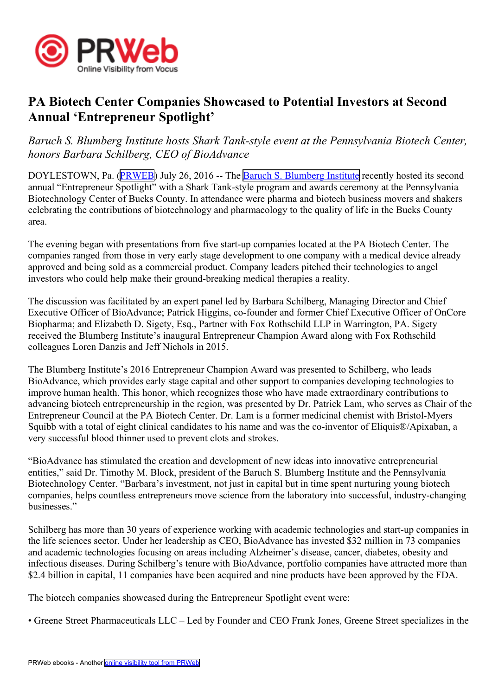

## **PA Biotech Center Companies Showcased to Potential Investors at Second Annual 'Entrepreneur Spotlight'**

*Baruch S. Blumberg Institute hosts Shark Tank-style event at the Pennsylvania Biotech Center, honors Barbara Schilberg, CEO of BioAdvance*

DOYLESTOWN, Pa. [\(PRWEB\)](http://www.prweb.com) July 26, 2016 -- The Baruch S. [Blumberg](http://blumberginstitute.org/) Institute recently hosted its second annual "Entrepreneur Spotlight" with <sup>a</sup> Shark Tank-style program and awards ceremony at the Pennsylvania Biotechnology Center of Bucks County. In attendance were pharma and biotech business movers and shakers celebrating the contributions of biotechnology and pharmacology to the quality of life in the Bucks County area.

The evening began with presentations from five start-up companies located at the PA Biotech Center. The companies ranged from those in very early stage development to one company with <sup>a</sup> medical device already approved and being sold as <sup>a</sup> commercial product. Company leaders pitched their technologies to angel investors who could help make their ground-breaking medical therapies <sup>a</sup> reality.

The discussion was facilitated by an exper<sup>t</sup> panel led by Barbara Schilberg, Managing Director and Chief Executive Officer of BioAdvance; Patrick Higgins, co-founder and former Chief Executive Officer of OnCore Biopharma; and Elizabeth D. Sigety, Esq., Partner with Fox Rothschild LLP in Warrington, PA. Sigety received the Blumberg Institute's inaugural Entrepreneur Champion Award along with Fox Rothschild colleagues Loren Danzis and Jeff Nichols in 2015.

The Blumberg Institute's 2016 Entrepreneur Champion Award was presented to Schilberg, who leads BioAdvance, which provides early stage capital and other suppor<sup>t</sup> to companies developing technologies to improve human health. This honor, which recognizes those who have made extraordinary contributions to advancing biotech entrepreneurship in the region, was presented by Dr. Patrick Lam, who serves as Chair of the Entrepreneur Council at the PA Biotech Center. Dr. Lam is <sup>a</sup> former medicinal chemist with Bristol-Myers Squibb with <sup>a</sup> total of eight clinical candidates to his name and was the co-inventor of Eliquis®/Apixaban, <sup>a</sup> very successful blood thinner used to preven<sup>t</sup> clots and strokes.

"BioAdvance has stimulated the creation and development of new ideas into innovative entrepreneurial entities," said Dr. Timothy M. Block, president of the Baruch S. Blumberg Institute and the Pennsylvania Biotechnology Center. "Barbara's investment, not just in capital but in time spen<sup>t</sup> nurturing young biotech companies, helps countless entrepreneurs move science from the laboratory into successful, industry-changing businesses."

Schilberg has more than 30 years of experience working with academic technologies and start-up companies in the life sciences sector. Under her leadership as CEO, BioAdvance has invested \$32 million in 73 companies and academic technologies focusing on areas including Alzheimer's disease, cancer, diabetes, obesity and infectious diseases. During Schilberg's tenure with BioAdvance, portfolio companies have attracted more than \$2.4 billion in capital, 11 companies have been acquired and nine products have been approved by the FDA.

The biotech companies showcased during the Entrepreneur Spotlight event were:

• Greene Street Pharmaceuticals LLC – Led by Founder and CEO Frank Jones, Greene Street specializes in the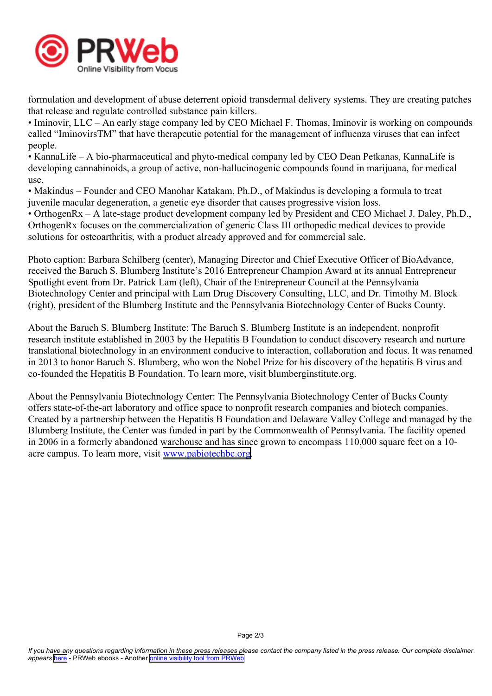

formulation and development of abuse deterrent opioid transdermal delivery systems. They are creating patches that release and regulate controlled substance pain killers.

• Iminovir, LLC – An early stage company led by CEO Michael F. Thomas, Iminovir is working on compounds called "IminovirsTM" that have therapeutic potential for the managemen<sup>t</sup> of influenza viruses that can infect people.

• KannaLife – A bio-pharmaceutical and phyto-medical company led by CEO Dean Petkanas, KannaLife is developing cannabinoids, <sup>a</sup> group of active, non-hallucinogenic compounds found in marijuana, for medical use.

• Makindus – Founder and CEO Manohar Katakam, Ph.D., of Makindus is developing <sup>a</sup> formula to treat juvenile macular degeneration, <sup>a</sup> genetic eye disorder that causes progressive vision loss.

• OrthogenRx – A late-stage product development company led by President and CEO Michael J. Daley, Ph.D., OrthogenRx focuses on the commercialization of generic Class III orthopedic medical devices to provide solutions for osteoarthritis, with <sup>a</sup> product already approved and for commercial sale.

Photo caption: Barbara Schilberg (center), Managing Director and Chief Executive Officer of BioAdvance, received the Baruch S. Blumberg Institute's 2016 Entrepreneur Champion Award at its annual Entrepreneur Spotlight event from Dr. Patrick Lam (left), Chair of the Entrepreneur Council at the Pennsylvania Biotechnology Center and principal with Lam Drug Discovery Consulting, LLC, and Dr. Timothy M. Block (right), president of the Blumberg Institute and the Pennsylvania Biotechnology Center of Bucks County.

About the Baruch S. Blumberg Institute: The Baruch S. Blumberg Institute is an independent, nonprofit research institute established in 2003 by the Hepatitis B Foundation to conduct discovery research and nurture translational biotechnology in an environment conducive to interaction, collaboration and focus. It was renamed in 2013 to honor Baruch S. Blumberg, who won the Nobel Prize for his discovery of the hepatitis B virus and co-founded the Hepatitis B Foundation. To learn more, visit blumberginstitute.org.

About the Pennsylvania Biotechnology Center: The Pennsylvania Biotechnology Center of Bucks County offers state-of-the-art laboratory and office space to nonprofit research companies and biotech companies. Created by <sup>a</sup> partnership between the Hepatitis B Foundation and Delaware Valley College and managed by the Blumberg Institute, the Center was funded in par<sup>t</sup> by the Commonwealth of Pennsylvania. The facility opened in 2006 in <sup>a</sup> formerly abandoned warehouse and has since grown to encompass 110,000 square feet on <sup>a</sup> 10 acre campus. To learn more, visit [www.pabiotechbc.org](http://www.pabiotechbc.org).